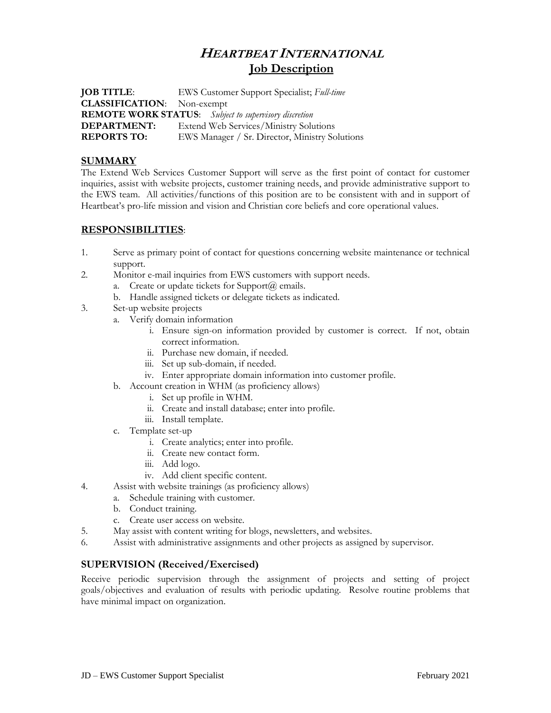# **HEARTBEAT INTERNATIONAL Job Description**

**JOB TITLE**: EWS Customer Support Specialist; *Full-time* **CLASSIFICATION**: Non-exempt **REMOTE WORK STATUS**: *Subject to supervisory discretion* **DEPARTMENT:** Extend Web Services/Ministry Solutions **REPORTS TO:** EWS Manager / Sr. Director, Ministry Solutions

### **SUMMARY**

The Extend Web Services Customer Support will serve as the first point of contact for customer inquiries, assist with website projects, customer training needs, and provide administrative support to the EWS team. All activities/functions of this position are to be consistent with and in support of Heartbeat's pro-life mission and vision and Christian core beliefs and core operational values.

#### **RESPONSIBILITIES**:

- 1. Serve as primary point of contact for questions concerning website maintenance or technical support.
- 2. Monitor e-mail inquiries from EWS customers with support needs.
	- a. Create or update tickets for Support $(a)$  emails.
	- b. Handle assigned tickets or delegate tickets as indicated.
- 3. Set-up website projects
	- a. Verify domain information
		- i. Ensure sign-on information provided by customer is correct. If not, obtain correct information.
		- ii. Purchase new domain, if needed.
		- iii. Set up sub-domain, if needed.
		- iv. Enter appropriate domain information into customer profile.
	- b. Account creation in WHM (as proficiency allows)
		- i. Set up profile in WHM.
		- ii. Create and install database; enter into profile.
		- iii. Install template.
	- c. Template set-up
		- i. Create analytics; enter into profile.
		- ii. Create new contact form.
		- iii. Add logo.
		- iv. Add client specific content.
- 4. Assist with website trainings (as proficiency allows)
	- a. Schedule training with customer.
		- b. Conduct training.
		- c. Create user access on website.
- 5. May assist with content writing for blogs, newsletters, and websites.
- 6. Assist with administrative assignments and other projects as assigned by supervisor.

## **SUPERVISION (Received/Exercised)**

Receive periodic supervision through the assignment of projects and setting of project goals/objectives and evaluation of results with periodic updating. Resolve routine problems that have minimal impact on organization.